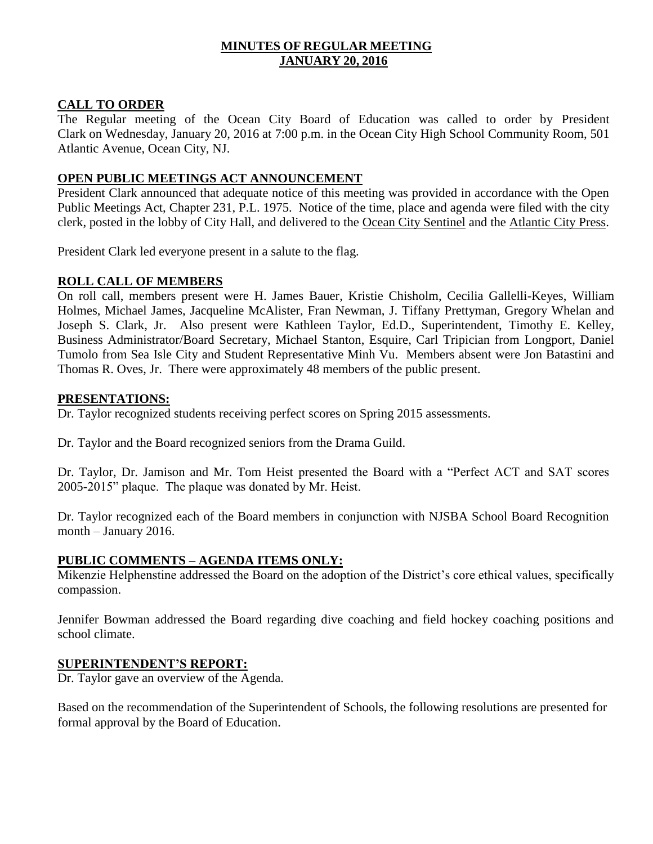# **MINUTES OF REGULAR MEETING JANUARY 20, 2016**

## **CALL TO ORDER**

The Regular meeting of the Ocean City Board of Education was called to order by President Clark on Wednesday, January 20, 2016 at 7:00 p.m. in the Ocean City High School Community Room, 501 Atlantic Avenue, Ocean City, NJ.

## **OPEN PUBLIC MEETINGS ACT ANNOUNCEMENT**

President Clark announced that adequate notice of this meeting was provided in accordance with the Open Public Meetings Act, Chapter 231, P.L. 1975. Notice of the time, place and agenda were filed with the city clerk, posted in the lobby of City Hall, and delivered to the Ocean City Sentinel and the Atlantic City Press.

President Clark led everyone present in a salute to the flag.

# **ROLL CALL OF MEMBERS**

On roll call, members present were H. James Bauer, Kristie Chisholm, Cecilia Gallelli-Keyes, William Holmes, Michael James, Jacqueline McAlister, Fran Newman, J. Tiffany Prettyman, Gregory Whelan and Joseph S. Clark, Jr. Also present were Kathleen Taylor, Ed.D., Superintendent, Timothy E. Kelley, Business Administrator/Board Secretary, Michael Stanton, Esquire, Carl Tripician from Longport, Daniel Tumolo from Sea Isle City and Student Representative Minh Vu. Members absent were Jon Batastini and Thomas R. Oves, Jr. There were approximately 48 members of the public present.

## **PRESENTATIONS:**

Dr. Taylor recognized students receiving perfect scores on Spring 2015 assessments.

Dr. Taylor and the Board recognized seniors from the Drama Guild.

Dr. Taylor, Dr. Jamison and Mr. Tom Heist presented the Board with a "Perfect ACT and SAT scores 2005-2015" plaque. The plaque was donated by Mr. Heist.

Dr. Taylor recognized each of the Board members in conjunction with NJSBA School Board Recognition month – January 2016.

### **PUBLIC COMMENTS – AGENDA ITEMS ONLY:**

Mikenzie Helphenstine addressed the Board on the adoption of the District's core ethical values, specifically compassion.

Jennifer Bowman addressed the Board regarding dive coaching and field hockey coaching positions and school climate.

### **SUPERINTENDENT'S REPORT:**

Dr. Taylor gave an overview of the Agenda.

Based on the recommendation of the Superintendent of Schools, the following resolutions are presented for formal approval by the Board of Education.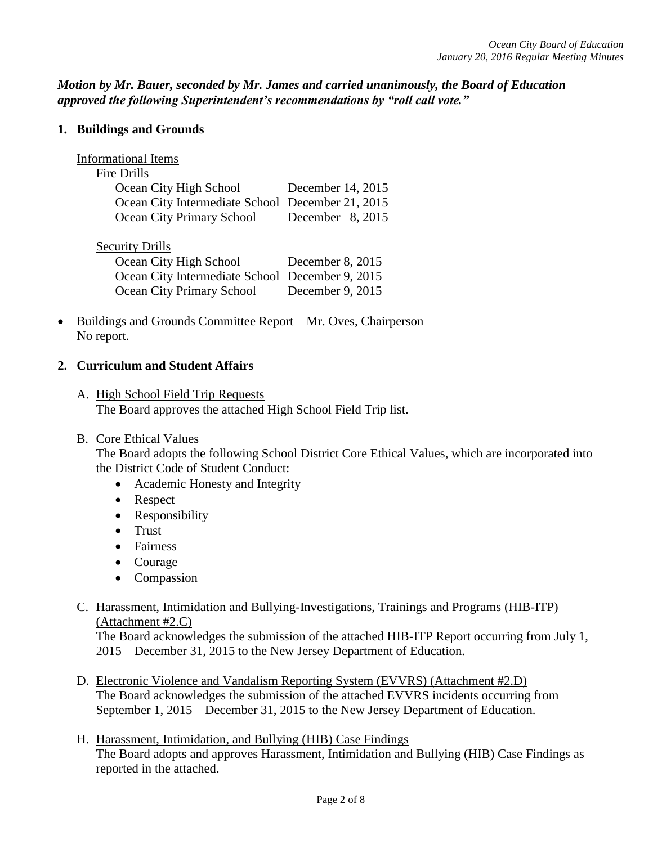*Motion by Mr. Bauer, seconded by Mr. James and carried unanimously, the Board of Education approved the following Superintendent's recommendations by "roll call vote."* 

### **1. Buildings and Grounds**

# Informational Items

## Fire Drills

| Ocean City High School                           | December 14, 2015 |
|--------------------------------------------------|-------------------|
| Ocean City Intermediate School December 21, 2015 |                   |
| Ocean City Primary School                        | December 8, 2015  |

# Security Drills

| Ocean City High School                          | December 8, 2015 |
|-------------------------------------------------|------------------|
| Ocean City Intermediate School December 9, 2015 |                  |
| Ocean City Primary School                       | December 9, 2015 |

 Buildings and Grounds Committee Report – Mr. Oves, Chairperson No report.

# **2. Curriculum and Student Affairs**

- A. High School Field Trip Requests The Board approves the attached High School Field Trip list.
- B. Core Ethical Values

The Board adopts the following School District Core Ethical Values, which are incorporated into the District Code of Student Conduct:

- Academic Honesty and Integrity
- Respect
- Responsibility
- Trust
- Fairness
- Courage
- Compassion
- C. Harassment, Intimidation and Bullying-Investigations, Trainings and Programs (HIB-ITP) (Attachment #2.C)

The Board acknowledges the submission of the attached HIB-ITP Report occurring from July 1, 2015 – December 31, 2015 to the New Jersey Department of Education.

- D. Electronic Violence and Vandalism Reporting System (EVVRS) (Attachment #2.D) The Board acknowledges the submission of the attached EVVRS incidents occurring from September 1, 2015 – December 31, 2015 to the New Jersey Department of Education.
- H. Harassment, Intimidation, and Bullying (HIB) Case Findings The Board adopts and approves Harassment, Intimidation and Bullying (HIB) Case Findings as reported in the attached.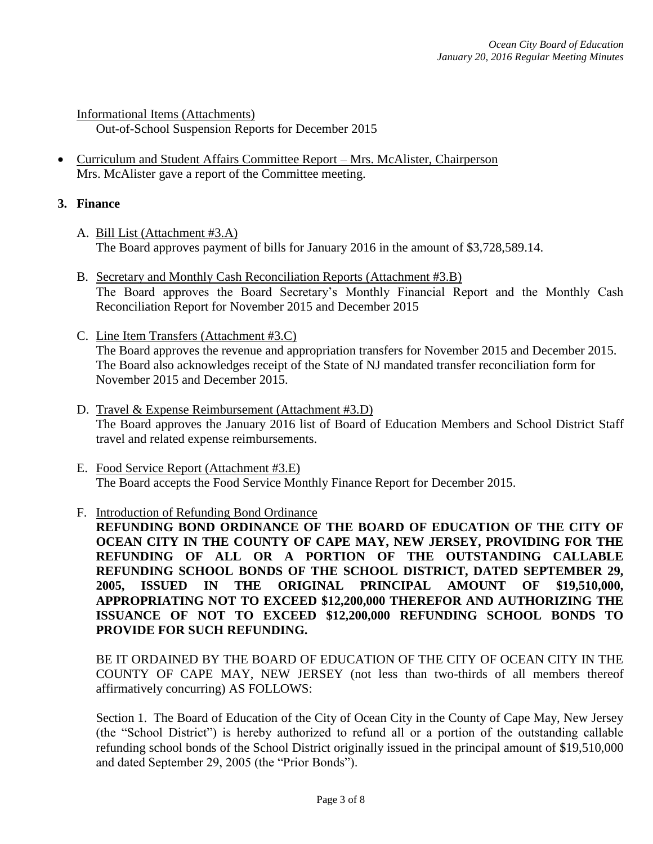Informational Items (Attachments) Out-of-School Suspension Reports for December 2015

 Curriculum and Student Affairs Committee Report – Mrs. McAlister, Chairperson Mrs. McAlister gave a report of the Committee meeting.

## **3. Finance**

- A. Bill List (Attachment #3.A) The Board approves payment of bills for January 2016 in the amount of \$3,728,589.14.
- B. Secretary and Monthly Cash Reconciliation Reports (Attachment #3.B) The Board approves the Board Secretary's Monthly Financial Report and the Monthly Cash Reconciliation Report for November 2015 and December 2015
- C. Line Item Transfers (Attachment #3.C) The Board approves the revenue and appropriation transfers for November 2015 and December 2015. The Board also acknowledges receipt of the State of NJ mandated transfer reconciliation form for November 2015 and December 2015.
- D. Travel & Expense Reimbursement (Attachment #3.D) The Board approves the January 2016 list of Board of Education Members and School District Staff travel and related expense reimbursements.
- E. Food Service Report (Attachment #3.E) The Board accepts the Food Service Monthly Finance Report for December 2015.

# F. Introduction of Refunding Bond Ordinance

**REFUNDING BOND ORDINANCE OF THE BOARD OF EDUCATION OF THE CITY OF OCEAN CITY IN THE COUNTY OF CAPE MAY, NEW JERSEY, PROVIDING FOR THE REFUNDING OF ALL OR A PORTION OF THE OUTSTANDING CALLABLE REFUNDING SCHOOL BONDS OF THE SCHOOL DISTRICT, DATED SEPTEMBER 29, 2005, ISSUED IN THE ORIGINAL PRINCIPAL AMOUNT OF \$19,510,000, APPROPRIATING NOT TO EXCEED \$12,200,000 THEREFOR AND AUTHORIZING THE ISSUANCE OF NOT TO EXCEED \$12,200,000 REFUNDING SCHOOL BONDS TO PROVIDE FOR SUCH REFUNDING.**

BE IT ORDAINED BY THE BOARD OF EDUCATION OF THE CITY OF OCEAN CITY IN THE COUNTY OF CAPE MAY, NEW JERSEY (not less than two-thirds of all members thereof affirmatively concurring) AS FOLLOWS:

Section 1. The Board of Education of the City of Ocean City in the County of Cape May, New Jersey (the "School District") is hereby authorized to refund all or a portion of the outstanding callable refunding school bonds of the School District originally issued in the principal amount of \$19,510,000 and dated September 29, 2005 (the "Prior Bonds").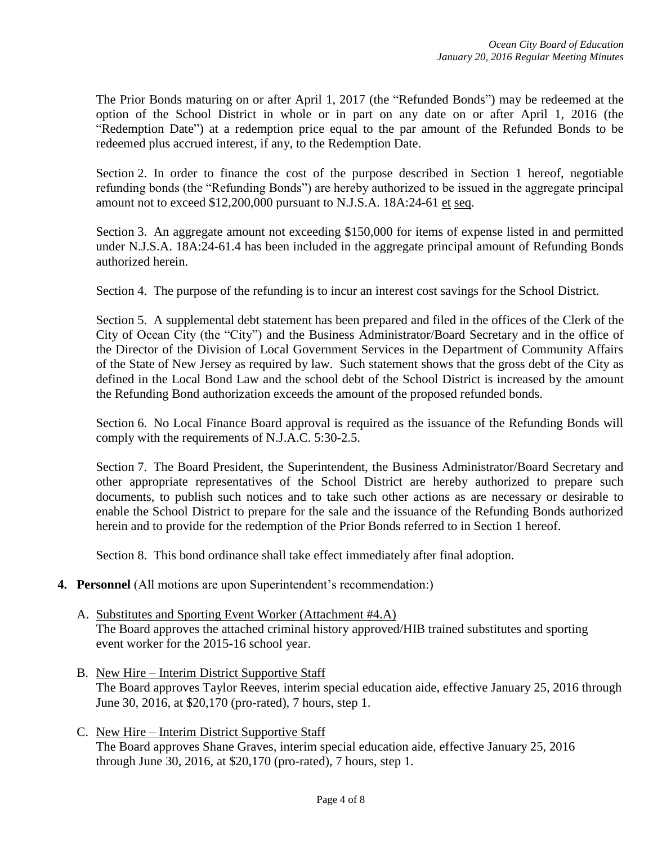The Prior Bonds maturing on or after April 1, 2017 (the "Refunded Bonds") may be redeemed at the option of the School District in whole or in part on any date on or after April 1, 2016 (the "Redemption Date") at a redemption price equal to the par amount of the Refunded Bonds to be redeemed plus accrued interest, if any, to the Redemption Date.

Section 2. In order to finance the cost of the purpose described in Section 1 hereof, negotiable refunding bonds (the "Refunding Bonds") are hereby authorized to be issued in the aggregate principal amount not to exceed \$12,200,000 pursuant to N.J.S.A. 18A:24-61 et seq.

Section 3. An aggregate amount not exceeding \$150,000 for items of expense listed in and permitted under N.J.S.A. 18A:24-61.4 has been included in the aggregate principal amount of Refunding Bonds authorized herein.

Section 4. The purpose of the refunding is to incur an interest cost savings for the School District.

Section 5. A supplemental debt statement has been prepared and filed in the offices of the Clerk of the City of Ocean City (the "City") and the Business Administrator/Board Secretary and in the office of the Director of the Division of Local Government Services in the Department of Community Affairs of the State of New Jersey as required by law. Such statement shows that the gross debt of the City as defined in the Local Bond Law and the school debt of the School District is increased by the amount the Refunding Bond authorization exceeds the amount of the proposed refunded bonds.

Section 6. No Local Finance Board approval is required as the issuance of the Refunding Bonds will comply with the requirements of N.J.A.C. 5:30-2.5.

Section 7. The Board President, the Superintendent, the Business Administrator/Board Secretary and other appropriate representatives of the School District are hereby authorized to prepare such documents, to publish such notices and to take such other actions as are necessary or desirable to enable the School District to prepare for the sale and the issuance of the Refunding Bonds authorized herein and to provide for the redemption of the Prior Bonds referred to in Section 1 hereof.

Section 8. This bond ordinance shall take effect immediately after final adoption.

- **4. Personnel** (All motions are upon Superintendent's recommendation:)
	- A. Substitutes and Sporting Event Worker (Attachment #4.A) The Board approves the attached criminal history approved/HIB trained substitutes and sporting event worker for the 2015-16 school year.
	- B. New Hire Interim District Supportive Staff The Board approves Taylor Reeves, interim special education aide, effective January 25, 2016 through June 30, 2016, at \$20,170 (pro-rated), 7 hours, step 1.
	- C. New Hire Interim District Supportive Staff The Board approves Shane Graves, interim special education aide, effective January 25, 2016 through June 30, 2016, at \$20,170 (pro-rated), 7 hours, step 1.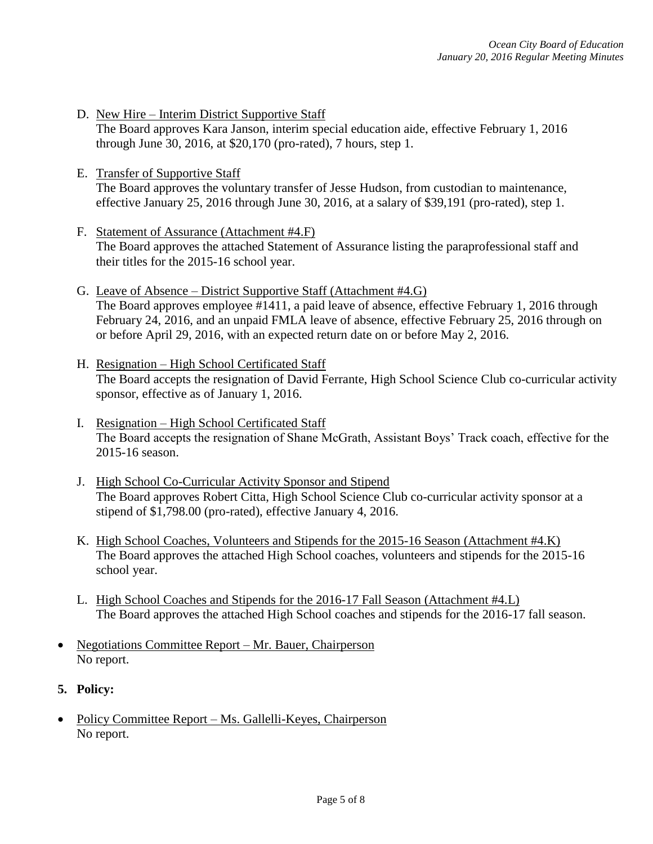- D. New Hire Interim District Supportive Staff The Board approves Kara Janson, interim special education aide, effective February 1, 2016 through June 30, 2016, at \$20,170 (pro-rated), 7 hours, step 1.
- E. Transfer of Supportive Staff The Board approves the voluntary transfer of Jesse Hudson, from custodian to maintenance, effective January 25, 2016 through June 30, 2016, at a salary of \$39,191 (pro-rated), step 1.
- F. Statement of Assurance (Attachment #4.F) The Board approves the attached Statement of Assurance listing the paraprofessional staff and their titles for the 2015-16 school year.
- G. Leave of Absence District Supportive Staff (Attachment #4.G) The Board approves employee #1411, a paid leave of absence, effective February 1, 2016 through February 24, 2016, and an unpaid FMLA leave of absence, effective February 25, 2016 through on or before April 29, 2016, with an expected return date on or before May 2, 2016.
- H. Resignation High School Certificated Staff The Board accepts the resignation of David Ferrante, High School Science Club co-curricular activity sponsor, effective as of January 1, 2016.
- I. Resignation High School Certificated Staff The Board accepts the resignation of Shane McGrath, Assistant Boys' Track coach, effective for the 2015-16 season.
- J. High School Co-Curricular Activity Sponsor and Stipend The Board approves Robert Citta, High School Science Club co-curricular activity sponsor at a stipend of \$1,798.00 (pro-rated), effective January 4, 2016.
- K. High School Coaches, Volunteers and Stipends for the 2015-16 Season (Attachment #4.K) The Board approves the attached High School coaches, volunteers and stipends for the 2015-16 school year.
- L. High School Coaches and Stipends for the 2016-17 Fall Season (Attachment #4.L) The Board approves the attached High School coaches and stipends for the 2016-17 fall season.
- Negotiations Committee Report Mr. Bauer, Chairperson No report.
- **5. Policy:**
- Policy Committee Report Ms. Gallelli-Keyes, Chairperson No report.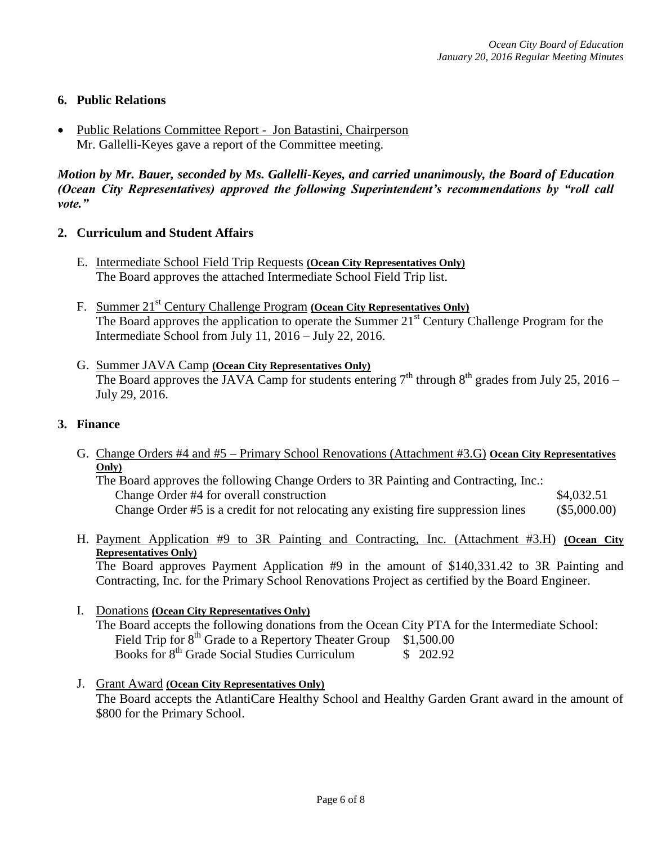# **6. Public Relations**

 Public Relations Committee Report - Jon Batastini, Chairperson Mr. Gallelli-Keyes gave a report of the Committee meeting.

*Motion by Mr. Bauer, seconded by Ms. Gallelli-Keyes, and carried unanimously, the Board of Education (Ocean City Representatives) approved the following Superintendent's recommendations by "roll call vote."* 

### **2. Curriculum and Student Affairs**

- E. Intermediate School Field Trip Requests **(Ocean City Representatives Only)** The Board approves the attached Intermediate School Field Trip list.
- F. Summer 21st Century Challenge Program **(Ocean City Representatives Only)** The Board approves the application to operate the Summer  $21^{st}$  Century Challenge Program for the Intermediate School from July 11, 2016 – July 22, 2016.
- G. Summer JAVA Camp **(Ocean City Representatives Only)** The Board approves the JAVA Camp for students entering  $7<sup>th</sup>$  through  $8<sup>th</sup>$  grades from July 25, 2016 – July 29, 2016.

### **3. Finance**

G. Change Orders #4 and #5 – Primary School Renovations (Attachment #3.G) **Ocean City Representatives Only)** The Board approves the following Change Orders to 3R Painting and Contracting, Inc.:

Change Order #4 for overall construction \$4,032.51 Change Order #5 is a credit for not relocating any existing fire suppression lines (\$5,000.00)

H. Payment Application #9 to 3R Painting and Contracting, Inc. (Attachment #3.H) **(Ocean City Representatives Only)** 

The Board approves Payment Application #9 in the amount of \$140,331.42 to 3R Painting and Contracting, Inc. for the Primary School Renovations Project as certified by the Board Engineer.

- I. Donations **(Ocean City Representatives Only)** The Board accepts the following donations from the Ocean City PTA for the Intermediate School: Field Trip for  $8^{th}$  Grade to a Repertory Theater Group  $$1,500.00$ Books for 8<sup>th</sup> Grade Social Studies Curriculum \$ 202.92
- J. Grant Award **(Ocean City Representatives Only)**  The Board accepts the AtlantiCare Healthy School and Healthy Garden Grant award in the amount of \$800 for the Primary School.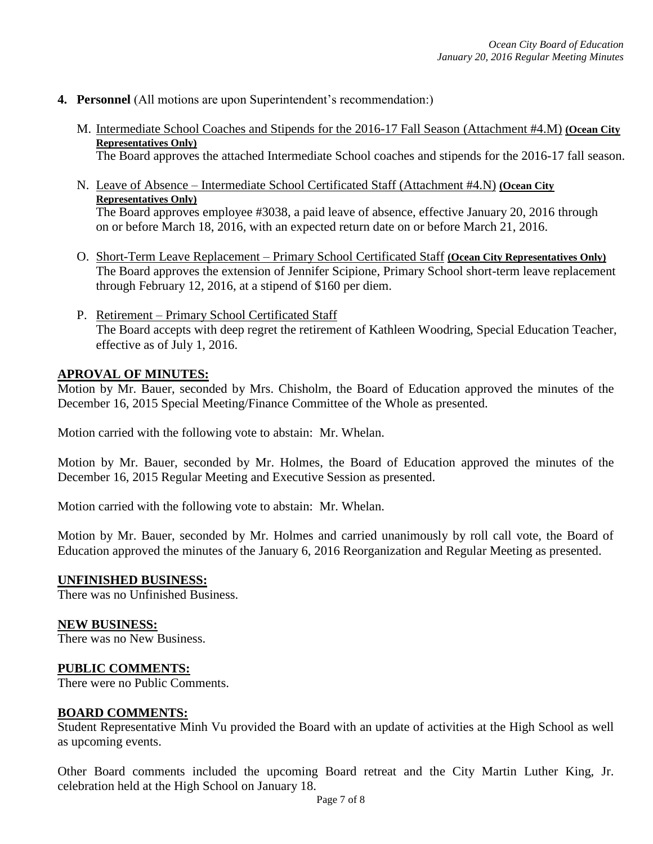- **4. Personnel** (All motions are upon Superintendent's recommendation:)
	- M. Intermediate School Coaches and Stipends for the 2016-17 Fall Season (Attachment #4.M) **(Ocean City Representatives Only)** The Board approves the attached Intermediate School coaches and stipends for the 2016-17 fall season.
	- N. Leave of Absence Intermediate School Certificated Staff (Attachment #4.N) **(Ocean City Representatives Only)** The Board approves employee #3038, a paid leave of absence, effective January 20, 2016 through on or before March 18, 2016, with an expected return date on or before March 21, 2016.
	- O. Short-Term Leave Replacement Primary School Certificated Staff **(Ocean City Representatives Only)** The Board approves the extension of Jennifer Scipione, Primary School short-term leave replacement through February 12, 2016, at a stipend of \$160 per diem.
	- P. Retirement Primary School Certificated Staff The Board accepts with deep regret the retirement of Kathleen Woodring, Special Education Teacher, effective as of July 1, 2016.

## **APROVAL OF MINUTES:**

Motion by Mr. Bauer, seconded by Mrs. Chisholm, the Board of Education approved the minutes of the December 16, 2015 Special Meeting/Finance Committee of the Whole as presented.

Motion carried with the following vote to abstain: Mr. Whelan.

Motion by Mr. Bauer, seconded by Mr. Holmes, the Board of Education approved the minutes of the December 16, 2015 Regular Meeting and Executive Session as presented.

Motion carried with the following vote to abstain: Mr. Whelan.

Motion by Mr. Bauer, seconded by Mr. Holmes and carried unanimously by roll call vote, the Board of Education approved the minutes of the January 6, 2016 Reorganization and Regular Meeting as presented.

### **UNFINISHED BUSINESS:**

There was no Unfinished Business.

### **NEW BUSINESS:**

There was no New Business.

#### **PUBLIC COMMENTS:**

There were no Public Comments.

### **BOARD COMMENTS:**

Student Representative Minh Vu provided the Board with an update of activities at the High School as well as upcoming events.

Other Board comments included the upcoming Board retreat and the City Martin Luther King, Jr. celebration held at the High School on January 18.